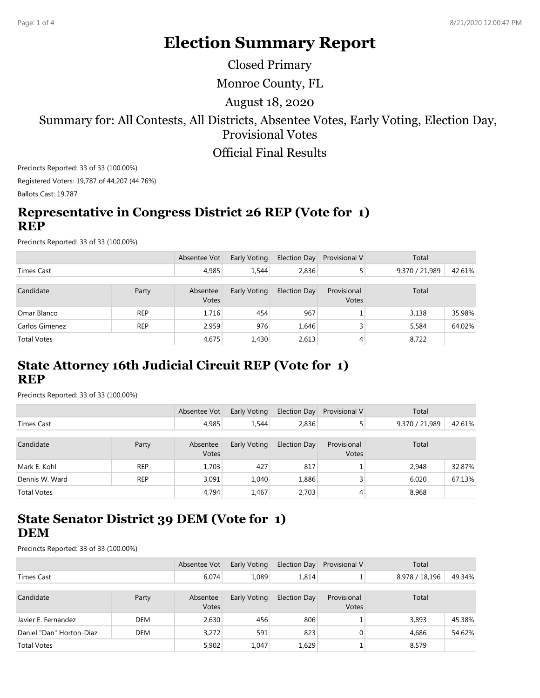# **Election Summary Report**

Closed Primary

Monroe County, FL

August 18, 2020

#### Summary for: All Contests, All Districts, Absentee Votes, Early Voting, Election Day, Provisional Votes

Official Final Results

Precincts Reported: 33 of 33 (100.00%)

Registered Voters: 19,787 of 44,207 (44.76%)

Ballots Cast: 19,787

#### **Representative in Congress District 26 REP (Vote for 1) REP**

Precincts Reported: 33 of 33 (100.00%)

|                    |            | Absentee Vot      | Early Voting | Election Day        | <b>Provisional V</b> | Total          |        |
|--------------------|------------|-------------------|--------------|---------------------|----------------------|----------------|--------|
| Times Cast         |            | 4,985             | 1.544        | 2,836               |                      | 9,370 / 21,989 | 42.61% |
|                    |            |                   |              |                     |                      |                |        |
| Candidate          | Party      | Absentee<br>Votes | Early Voting | <b>Election Day</b> | Provisional<br>Votes | Total          |        |
| Omar Blanco        | <b>REP</b> | 1,716             | 454          | 967                 |                      | 3,138          | 35.98% |
| Carlos Gimenez     | <b>REP</b> | 2,959             | 976          | 1,646               |                      | 5,584          | 64.02% |
| <b>Total Votes</b> |            | 4,675             | 1,430        | 2,613               | 4                    | 8,722          |        |

### **State Attorney 16th Judicial Circuit REP (Vote for 1) REP**

Precincts Reported: 33 of 33 (100.00%)

|                    |            | Absentee Vot      | Early Voting | Election Day | <b>Provisional V</b> | Total          |        |
|--------------------|------------|-------------------|--------------|--------------|----------------------|----------------|--------|
| Times Cast         |            | 4,985             | 1.544        | 2,836        |                      | 9,370 / 21,989 | 42.61% |
|                    |            |                   |              |              |                      |                |        |
| Candidate          | Party      | Absentee<br>Votes | Early Voting | Election Day | Provisional<br>Votes | Total          |        |
| Mark E. Kohl       | <b>REP</b> | 1,703             | 427          | 817          |                      | 2,948          | 32.87% |
| Dennis W. Ward     | <b>REP</b> | 3,091             | 1,040        | 1,886        | 3                    | 6,020          | 67.13% |
| <b>Total Votes</b> |            | 4,794             | 1,467        | 2,703        | 4                    | 8,968          |        |

#### **State Senator District 39 DEM (Vote for 1) DEM**

Precincts Reported: 33 of 33 (100.00%)

|                          |            | Absentee Vot      | Early Voting | Election Day | <b>Provisional V</b> | Total          |        |
|--------------------------|------------|-------------------|--------------|--------------|----------------------|----------------|--------|
| Times Cast               |            | 6.074             | 1,089        | 1,814        |                      | 8,978 / 18,196 | 49.34% |
|                          |            |                   |              |              |                      |                |        |
| Candidate                | Party      | Absentee<br>Votes | Early Voting | Election Day | Provisional<br>Votes | Total          |        |
| Javier E. Fernandez      | <b>DEM</b> | 2.630             | 456          | 806          |                      | 3,893          | 45.38% |
| Daniel "Dan" Horton-Diaz | <b>DEM</b> | 3,272             | 591          | 823          | 0                    | 4,686          | 54.62% |
| <b>Total Votes</b>       |            | 5,902             | 1,047        | 1,629        |                      | 8,579          |        |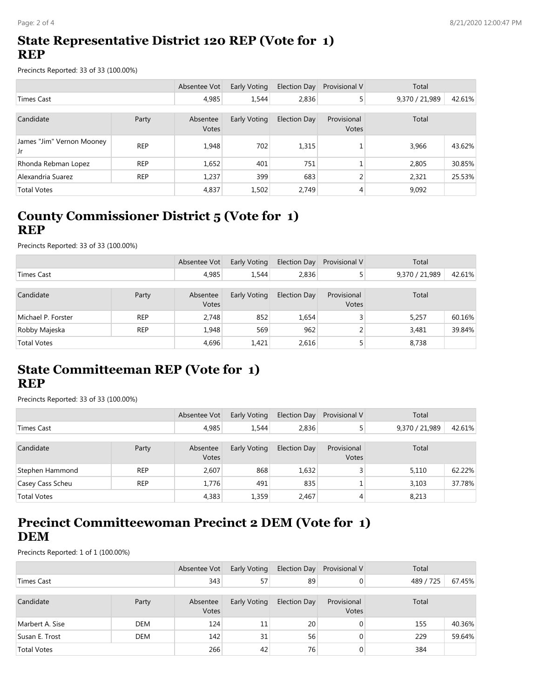### **State Representative District 120 REP (Vote for 1) REP**

Precincts Reported: 33 of 33 (100.00%)

|                                         |            | Absentee Vot      | Early Voting | Election Day | Provisional V        | Total          |        |
|-----------------------------------------|------------|-------------------|--------------|--------------|----------------------|----------------|--------|
| <b>Times Cast</b>                       |            | 4,985             | 1,544        | 2,836        | 5                    | 9,370 / 21,989 | 42.61% |
|                                         |            |                   |              |              |                      |                |        |
| Candidate                               | Party      | Absentee<br>Votes | Early Voting | Election Day | Provisional<br>Votes | Total          |        |
| James "Jim" Vernon Mooney<br><u> Jr</u> | <b>REP</b> | 1,948             | 702          | 1,315        |                      | 3,966          | 43.62% |
| Rhonda Rebman Lopez                     | <b>REP</b> | 1,652             | 401          | 751          |                      | 2,805          | 30.85% |
| Alexandria Suarez                       | <b>REP</b> | 1,237             | 399          | 683          | $\overline{ }$<br>∠  | 2,321          | 25.53% |
| <b>Total Votes</b>                      |            | 4,837             | 1,502        | 2,749        | 4                    | 9,092          |        |

### **County Commissioner District 5 (Vote for 1) REP**

Precincts Reported: 33 of 33 (100.00%)

|                    |            | Absentee Vot      | Early Voting | Election Day | Provisional V        | Total          |        |
|--------------------|------------|-------------------|--------------|--------------|----------------------|----------------|--------|
| <b>Times Cast</b>  |            | 4,985             | 1.544        | 2,836        |                      | 9,370 / 21,989 | 42.61% |
|                    |            |                   |              |              |                      |                |        |
| Candidate          | Party      | Absentee<br>Votes | Early Voting | Election Day | Provisional<br>Votes | Total          |        |
| Michael P. Forster | <b>REP</b> | 2,748             | 852          | 1,654        |                      | 5,257          | 60.16% |
| Robby Majeska      | <b>REP</b> | 1,948             | 569          | 962          | ∍                    | 3,481          | 39.84% |
| <b>Total Votes</b> |            | 4,696             | 1,421        | 2,616        |                      | 8,738          |        |

#### **State Committeeman REP (Vote for 1) REP**

Precincts Reported: 33 of 33 (100.00%)

|                         |            | Absentee Vot      | Early Voting | Election Day        | Provisional V        | Total          |        |
|-------------------------|------------|-------------------|--------------|---------------------|----------------------|----------------|--------|
| Times Cast              |            | 4,985             | 1,544        | 2,836               |                      | 9,370 / 21,989 | 42.61% |
|                         |            |                   |              |                     |                      |                |        |
| Candidate               | Party      | Absentee<br>Votes | Early Voting | <b>Election Day</b> | Provisional<br>Votes | Total          |        |
| Stephen Hammond         | <b>REP</b> | 2.607             | 868          | 1,632               |                      | 5,110          | 62.22% |
| <b>Casey Cass Scheu</b> | <b>REP</b> | 1,776             | 491          | 835                 |                      | 3,103          | 37.78% |
| <b>Total Votes</b>      |            | 4,383             | 1,359        | 2,467               | 4                    | 8,213          |        |

### **Precinct Committeewoman Precinct 2 DEM (Vote for 1) DEM**

Precincts Reported: 1 of 1 (100.00%)

|                    |            | Absentee Vot      | Early Voting | Election Day | Provisional V        | Total     |        |
|--------------------|------------|-------------------|--------------|--------------|----------------------|-----------|--------|
| <b>Times Cast</b>  |            | 343               | 57           | 89           | 0                    | 489 / 725 | 67.45% |
|                    |            |                   |              |              |                      |           |        |
| Candidate          | Party      | Absentee<br>Votes | Early Voting | Election Day | Provisional<br>Votes | Total     |        |
| Marbert A. Sise    | <b>DEM</b> | 124               | 11           | 20           | 0                    | 155       | 40.36% |
| Susan E. Trost     | <b>DEM</b> | 142               | 31           | 56           | 0                    | 229       | 59.64% |
| <b>Total Votes</b> |            | 266               | 42           | 76           | 0                    | 384       |        |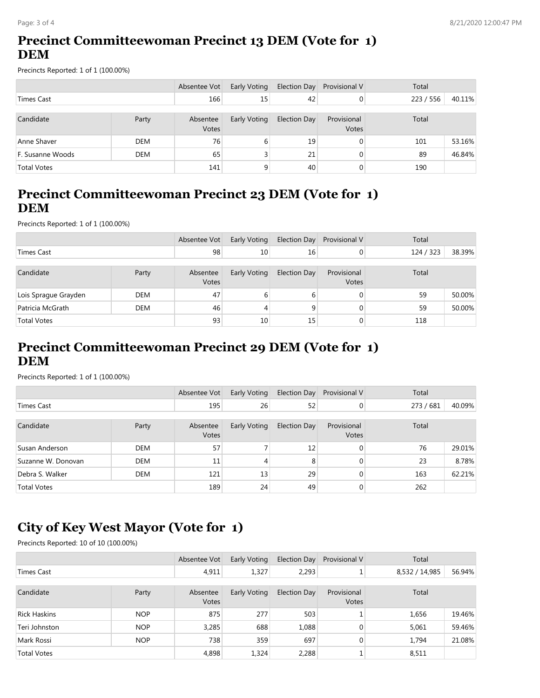### **Precinct Committeewoman Precinct 13 DEM (Vote for 1) DEM**

Precincts Reported: 1 of 1 (100.00%)

|                    |            | Absentee Vot      | Early Voting | Election Day        | Provisional V        | Total   |        |
|--------------------|------------|-------------------|--------------|---------------------|----------------------|---------|--------|
| <b>Times Cast</b>  |            | 166               | 15           | 42                  | 0                    | 223/556 | 40.11% |
| Candidate<br>Party |            | Absentee<br>Votes | Early Voting | <b>Election Day</b> | Provisional<br>Votes | Total   |        |
| Anne Shaver        | <b>DEM</b> | 76                | 6            | 19                  | 0                    | 101     | 53.16% |
| F. Susanne Woods   | <b>DEM</b> | 65                | 3            | 21                  | 0                    | 89      | 46.84% |
| <b>Total Votes</b> |            | 141               | 9            | 40                  | 0                    | 190     |        |

### **Precinct Committeewoman Precinct 23 DEM (Vote for 1) DEM**

Precincts Reported: 1 of 1 (100.00%)

|                      |            | Absentee Vot      | Early Voting | <b>Election Day</b> | Provisional V        | Total     |        |
|----------------------|------------|-------------------|--------------|---------------------|----------------------|-----------|--------|
| ⊦Times Cast          |            | 98                | 10           | 16                  |                      | 124 / 323 | 38.39% |
|                      |            |                   |              |                     |                      |           |        |
| Candidate            | Party      | Absentee<br>Votes | Early Voting | Election Day        | Provisional<br>Votes | Total     |        |
| Lois Sprague Grayden | <b>DEM</b> | 47                | 6            | b                   |                      | 59        | 50.00% |
| Patricia McGrath     | DEM        | 46                | 4            | 9                   |                      | 59        | 50.00% |
| <b>Total Votes</b>   |            | 93                | 10           | 15                  |                      | 118       |        |

### **Precinct Committeewoman Precinct 29 DEM (Vote for 1) DEM**

Precincts Reported: 1 of 1 (100.00%)

|                    |            | Absentee Vot      | Early Voting | Election Day | Provisional V        | Total     |        |
|--------------------|------------|-------------------|--------------|--------------|----------------------|-----------|--------|
| Times Cast         |            | 195               | 26           | 52           | 0                    | 273 / 681 | 40.09% |
|                    |            |                   |              |              |                      |           |        |
| Candidate          | Party      | Absentee<br>Votes | Early Voting | Election Day | Provisional<br>Votes | Total     |        |
| Susan Anderson     | <b>DEM</b> | 57                | -            | 12           | 0                    | 76        | 29.01% |
| Suzanne W. Donovan | <b>DEM</b> | 11                | 4            | 8            | $\Omega$             | 23        | 8.78%  |
| Debra S. Walker    | <b>DEM</b> | 121               | 13           | 29           | $\Omega$             | 163       | 62.21% |
| <b>Total Votes</b> |            | 189               | 24           | 49           |                      | 262       |        |

## **City of Key West Mayor (Vote for 1)**

Precincts Reported: 10 of 10 (100.00%)

|                     |            | Absentee Vot      | Early Voting | Election Day | Provisional V        | Total          |        |
|---------------------|------------|-------------------|--------------|--------------|----------------------|----------------|--------|
| Times Cast          |            | 4,911             | 1,327        | 2,293        |                      | 8,532 / 14,985 | 56.94% |
|                     |            |                   |              |              |                      |                |        |
| Candidate           | Party      | Absentee<br>Votes | Early Voting | Election Day | Provisional<br>Votes | Total          |        |
| <b>Rick Haskins</b> | <b>NOP</b> | 875               | 277          | 503          |                      | 1,656          | 19.46% |
| Teri Johnston       | <b>NOP</b> | 3,285             | 688          | 1,088        | $\Omega$             | 5,061          | 59.46% |
| Mark Rossi          | <b>NOP</b> | 738               | 359          | 697          | 0                    | 1,794          | 21.08% |
| <b>Total Votes</b>  |            | 4,898             | 1,324        | 2,288        |                      | 8,511          |        |